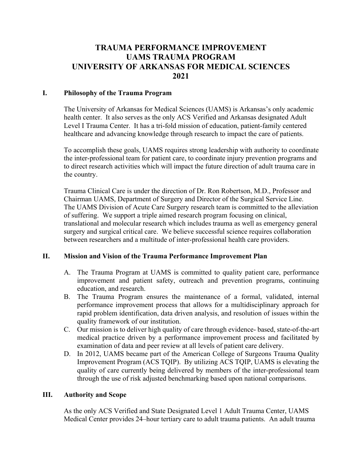# **TRAUMA PERFORMANCE IMPROVEMENT UAMS TRAUMA PROGRAM UNIVERSITY OF ARKANSAS FOR MEDICAL SCIENCES 2021**

#### **I. Philosophy of the Trauma Program**

The University of Arkansas for Medical Sciences (UAMS) is Arkansas's only academic health center. It also serves as the only ACS Verified and Arkansas designated Adult Level I Trauma Center. It has a tri-fold mission of education, patient-family centered healthcare and advancing knowledge through research to impact the care of patients.

To accomplish these goals, UAMS requires strong leadership with authority to coordinate the inter-professional team for patient care, to coordinate injury prevention programs and to direct research activities which will impact the future direction of adult trauma care in the country.

Trauma Clinical Care is under the direction of Dr. Ron Robertson, M.D., Professor and Chairman UAMS, Department of Surgery and Director of the Surgical Service Line. The UAMS Division of Acute Care Surgery research team is committed to the alleviation of suffering. We support a triple aimed research program focusing on clinical, translational and molecular research which includes trauma as well as emergency general surgery and surgical critical care. We believe successful science requires collaboration between researchers and a multitude of inter-professional health care providers.

# **II. Mission and Vision of the Trauma Performance Improvement Plan**

- A. The Trauma Program at UAMS is committed to quality patient care, performance improvement and patient safety, outreach and prevention programs, continuing education, and research.
- B. The Trauma Program ensures the maintenance of a formal, validated, internal performance improvement process that allows for a multidisciplinary approach for rapid problem identification, data driven analysis, and resolution of issues within the quality framework of our institution.
- C. Our mission is to deliver high quality of care through evidence- based, state-of-the-art medical practice driven by a performance improvement process and facilitated by examination of data and peer review at all levels of patient care delivery.
- D. In 2012, UAMS became part of the American College of Surgeons Trauma Quality Improvement Program (ACS TQIP). By utilizing ACS TQIP, UAMS is elevating the quality of care currently being delivered by members of the inter-professional team through the use of risk adjusted benchmarking based upon national comparisons.

#### **III. Authority and Scope**

As the only ACS Verified and State Designated Level 1 Adult Trauma Center, UAMS Medical Center provides 24–hour tertiary care to adult trauma patients. An adult trauma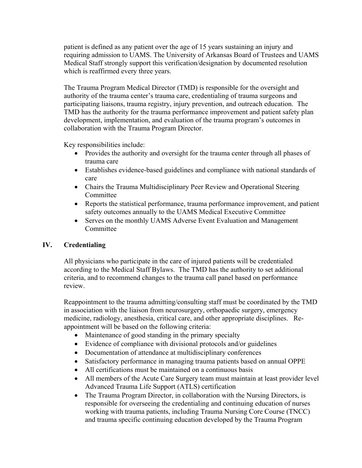patient is defined as any patient over the age of 15 years sustaining an injury and requiring admission to UAMS. The University of Arkansas Board of Trustees and UAMS Medical Staff strongly support this verification/designation by documented resolution which is reaffirmed every three years.

The Trauma Program Medical Director (TMD) is responsible for the oversight and authority of the trauma center's trauma care, credentialing of trauma surgeons and participating liaisons, trauma registry, injury prevention, and outreach education. The TMD has the authority for the trauma performance improvement and patient safety plan development, implementation, and evaluation of the trauma program's outcomes in collaboration with the Trauma Program Director.

Key responsibilities include:

- Provides the authority and oversight for the trauma center through all phases of trauma care
- Establishes evidence-based guidelines and compliance with national standards of care
- Chairs the Trauma Multidisciplinary Peer Review and Operational Steering Committee
- Reports the statistical performance, trauma performance improvement, and patient safety outcomes annually to the UAMS Medical Executive Committee
- Serves on the monthly UAMS Adverse Event Evaluation and Management Committee

# **IV. Credentialing**

All physicians who participate in the care of injured patients will be credentialed according to the Medical Staff Bylaws. The TMD has the authority to set additional criteria, and to recommend changes to the trauma call panel based on performance review.

Reappointment to the trauma admitting/consulting staff must be coordinated by the TMD in association with the liaison from neurosurgery, orthopaedic surgery, emergency medicine, radiology, anesthesia, critical care, and other appropriate disciplines. Reappointment will be based on the following criteria:

- Maintenance of good standing in the primary specialty
- Evidence of compliance with divisional protocols and/or guidelines
- Documentation of attendance at multidisciplinary conferences
- Satisfactory performance in managing trauma patients based on annual OPPE
- All certifications must be maintained on a continuous basis
- All members of the Acute Care Surgery team must maintain at least provider level Advanced Trauma Life Support (ATLS) certification
- The Trauma Program Director, in collaboration with the Nursing Directors, is responsible for overseeing the credentialing and continuing education of nurses working with trauma patients, including Trauma Nursing Core Course (TNCC) and trauma specific continuing education developed by the Trauma Program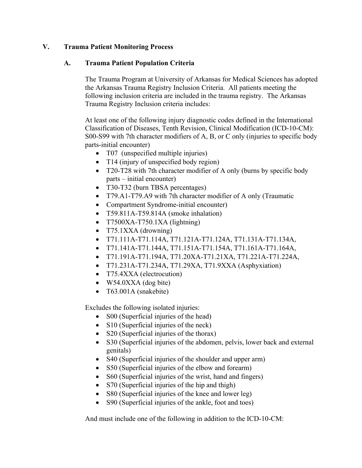# **V. Trauma Patient Monitoring Process**

# **A. Trauma Patient Population Criteria**

The Trauma Program at University of Arkansas for Medical Sciences has adopted the Arkansas Trauma Registry Inclusion Criteria. All patients meeting the following inclusion criteria are included in the trauma registry. The Arkansas Trauma Registry Inclusion criteria includes:

At least one of the following injury diagnostic codes defined in the International Classification of Diseases, Tenth Revision, Clinical Modification (ICD-10-CM): S00-S99 with 7th character modifiers of A, B, or C only (injuries to specific body parts-initial encounter)

- T07 (unspecified multiple injuries)
- T14 (injury of unspecified body region)
- T20-T28 with 7th character modifier of A only (burns by specific body parts – initial encounter)
- T30-T32 (burn TBSA percentages)
- T79.A1-T79.A9 with 7th character modifier of A only (Traumatic
- Compartment Syndrome-initial encounter)
- T59.811A-T59.814A (smoke inhalation)
- $\bullet$  T7500XA-T750.1XA (lightning)
- T75.1XXA (drowning)
- T71.111A-T71.114A, T71.121A-T71.124A, T71.131A-T71.134A,
- T71.141A-T71.144A, T71.151A-T71.154A, T71.161A-T71.164A,
- T71.191A-T71.194A, T71.20XA-T71.21XA, T71.221A-T71.224A,
- T71.231A-T71.234A, T71.29XA, T71.9XXA (Asphyxiation)
- T75.4XXA (electrocution)
- W54.0XXA (dog bite)
- T63.001A (snakebite)

Excludes the following isolated injuries:

- S00 (Superficial injuries of the head)
- S10 (Superficial injuries of the neck)
- S20 (Superficial injuries of the thorax)
- S30 (Superficial injuries of the abdomen, pelvis, lower back and external genitals)
- S40 (Superficial injuries of the shoulder and upper arm)
- S50 (Superficial injuries of the elbow and forearm)
- S60 (Superficial injuries of the wrist, hand and fingers)
- S70 (Superficial injuries of the hip and thigh)
- S80 (Superficial injuries of the knee and lower leg)
- S90 (Superficial injuries of the ankle, foot and toes)

And must include one of the following in addition to the ICD-10-CM: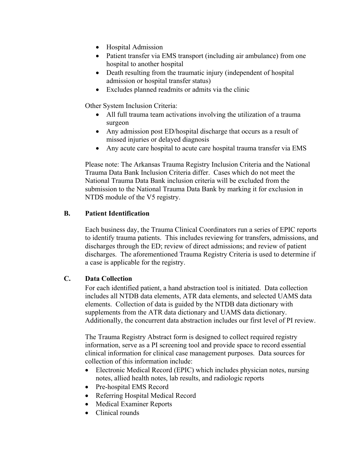- Hospital Admission
- Patient transfer via EMS transport (including air ambulance) from one hospital to another hospital
- Death resulting from the traumatic injury (independent of hospital admission or hospital transfer status)
- Excludes planned readmits or admits via the clinic

Other System Inclusion Criteria:

- All full trauma team activations involving the utilization of a trauma surgeon
- Any admission post ED/hospital discharge that occurs as a result of missed injuries or delayed diagnosis
- Any acute care hospital to acute care hospital trauma transfer via EMS

Please note: The Arkansas Trauma Registry Inclusion Criteria and the National Trauma Data Bank Inclusion Criteria differ. Cases which do not meet the National Trauma Data Bank inclusion criteria will be excluded from the submission to the National Trauma Data Bank by marking it for exclusion in NTDS module of the V5 registry.

# **B. Patient Identification**

Each business day, the Trauma Clinical Coordinators run a series of EPIC reports to identify trauma patients. This includes reviewing for transfers, admissions, and discharges through the ED; review of direct admissions; and review of patient discharges. The aforementioned Trauma Registry Criteria is used to determine if a case is applicable for the registry.

# **C. Data Collection**

For each identified patient, a hand abstraction tool is initiated. Data collection includes all NTDB data elements, ATR data elements, and selected UAMS data elements. Collection of data is guided by the NTDB data dictionary with supplements from the ATR data dictionary and UAMS data dictionary. Additionally, the concurrent data abstraction includes our first level of PI review.

The Trauma Registry Abstract form is designed to collect required registry information, serve as a PI screening tool and provide space to record essential clinical information for clinical case management purposes. Data sources for collection of this information include:

- Electronic Medical Record (EPIC) which includes physician notes, nursing notes, allied health notes, lab results, and radiologic reports
- Pre-hospital EMS Record
- Referring Hospital Medical Record
- Medical Examiner Reports
- Clinical rounds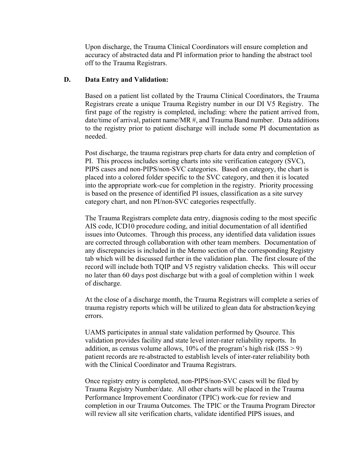Upon discharge, the Trauma Clinical Coordinators will ensure completion and accuracy of abstracted data and PI information prior to handing the abstract tool off to the Trauma Registrars.

#### **D. Data Entry and Validation:**

Based on a patient list collated by the Trauma Clinical Coordinators, the Trauma Registrars create a unique Trauma Registry number in our DI V5 Registry. The first page of the registry is completed, including: where the patient arrived from, date/time of arrival, patient name/MR #, and Trauma Band number. Data additions to the registry prior to patient discharge will include some PI documentation as needed.

Post discharge, the trauma registrars prep charts for data entry and completion of PI. This process includes sorting charts into site verification category (SVC), PIPS cases and non-PIPS/non-SVC categories. Based on category, the chart is placed into a colored folder specific to the SVC category, and then it is located into the appropriate work-cue for completion in the registry. Priority processing is based on the presence of identified PI issues, classification as a site survey category chart, and non PI/non-SVC categories respectfully.

The Trauma Registrars complete data entry, diagnosis coding to the most specific AIS code, ICD10 procedure coding, and initial documentation of all identified issues into Outcomes. Through this process, any identified data validation issues are corrected through collaboration with other team members. Documentation of any discrepancies is included in the Memo section of the corresponding Registry tab which will be discussed further in the validation plan. The first closure of the record will include both TQIP and V5 registry validation checks. This will occur no later than 60 days post discharge but with a goal of completion within 1 week of discharge.

At the close of a discharge month, the Trauma Registrars will complete a series of trauma registry reports which will be utilized to glean data for abstraction/keying errors.

UAMS participates in annual state validation performed by Qsource. This validation provides facility and state level inter-rater reliability reports. In addition, as census volume allows,  $10\%$  of the program's high risk (ISS  $> 9$ ) patient records are re-abstracted to establish levels of inter-rater reliability both with the Clinical Coordinator and Trauma Registrars.

Once registry entry is completed, non-PIPS/non-SVC cases will be filed by Trauma Registry Number/date. All other charts will be placed in the Trauma Performance Improvement Coordinator (TPIC) work-cue for review and completion in our Trauma Outcomes. The TPIC or the Trauma Program Director will review all site verification charts, validate identified PIPS issues, and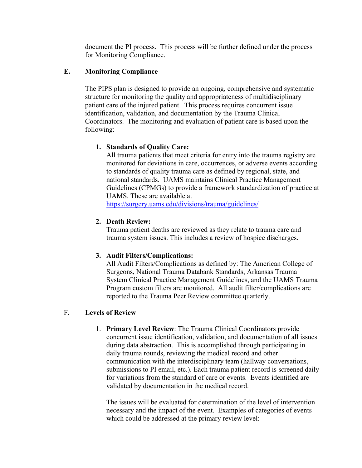document the PI process. This process will be further defined under the process for Monitoring Compliance.

# **E. Monitoring Compliance**

The PIPS plan is designed to provide an ongoing, comprehensive and systematic structure for monitoring the quality and appropriateness of multidisciplinary patient care of the injured patient. This process requires concurrent issue identification, validation, and documentation by the Trauma Clinical Coordinators. The monitoring and evaluation of patient care is based upon the following:

## **1. Standards of Quality Care:**

All trauma patients that meet criteria for entry into the trauma registry are monitored for deviations in care, occurrences, or adverse events according to standards of quality trauma care as defined by regional, state, and national standards. UAMS maintains Clinical Practice Management Guidelines (CPMGs) to provide a framework standardization of practice at UAMS. These are available at

https://surgery.uams.edu/divisions/trauma/guidelines/

## **2. Death Review:**

Trauma patient deaths are reviewed as they relate to trauma care and trauma system issues. This includes a review of hospice discharges.

# **3. Audit Filters/Complications:**

All Audit Filters/Complications as defined by: The American College of Surgeons, National Trauma Databank Standards, Arkansas Trauma System Clinical Practice Management Guidelines, and the UAMS Trauma Program custom filters are monitored. All audit filter/complications are reported to the Trauma Peer Review committee quarterly.

# F. **Levels of Review**

1. **Primary Level Review**: The Trauma Clinical Coordinators provide concurrent issue identification, validation, and documentation of all issues during data abstraction. This is accomplished through participating in daily trauma rounds, reviewing the medical record and other communication with the interdisciplinary team (hallway conversations, submissions to PI email, etc.). Each trauma patient record is screened daily for variations from the standard of care or events. Events identified are validated by documentation in the medical record.

The issues will be evaluated for determination of the level of intervention necessary and the impact of the event. Examples of categories of events which could be addressed at the primary review level: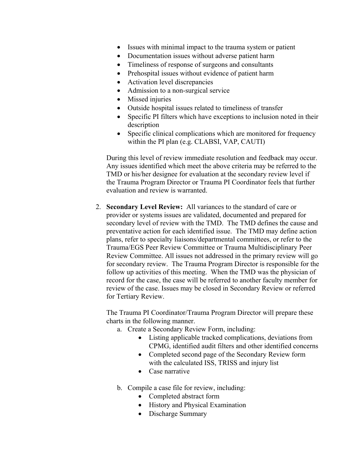- Issues with minimal impact to the trauma system or patient
- Documentation issues without adverse patient harm
- Timeliness of response of surgeons and consultants
- Prehospital issues without evidence of patient harm
- Activation level discrepancies
- Admission to a non-surgical service
- Missed injuries
- Outside hospital issues related to timeliness of transfer
- Specific PI filters which have exceptions to inclusion noted in their description
- Specific clinical complications which are monitored for frequency within the PI plan (e.g. CLABSI, VAP, CAUTI)

During this level of review immediate resolution and feedback may occur. Any issues identified which meet the above criteria may be referred to the TMD or his/her designee for evaluation at the secondary review level if the Trauma Program Director or Trauma PI Coordinator feels that further evaluation and review is warranted.

2. **Secondary Level Review:** All variances to the standard of care or provider or systems issues are validated, documented and prepared for secondary level of review with the TMD. The TMD defines the cause and preventative action for each identified issue. The TMD may define action plans, refer to specialty liaisons/departmental committees, or refer to the Trauma/EGS Peer Review Committee or Trauma Multidisciplinary Peer Review Committee. All issues not addressed in the primary review will go for secondary review. The Trauma Program Director is responsible for the follow up activities of this meeting. When the TMD was the physician of record for the case, the case will be referred to another faculty member for review of the case. Issues may be closed in Secondary Review or referred for Tertiary Review.

The Trauma PI Coordinator/Trauma Program Director will prepare these charts in the following manner.

- a. Create a Secondary Review Form, including:
	- Listing applicable tracked complications, deviations from CPMG, identified audit filters and other identified concerns
	- Completed second page of the Secondary Review form with the calculated ISS, TRISS and injury list
	- Case narrative

b. Compile a case file for review, including:

- Completed abstract form
- History and Physical Examination
- Discharge Summary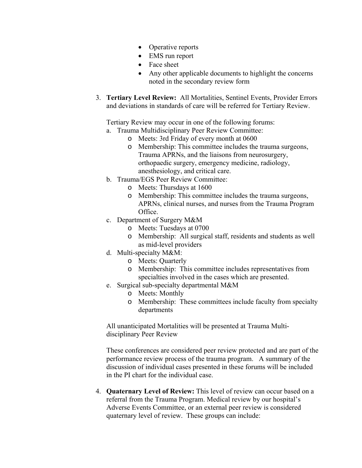- Operative reports
- EMS run report
- Face sheet
- Any other applicable documents to highlight the concerns noted in the secondary review form
- 3. **Tertiary Level Review:** All Mortalities, Sentinel Events, Provider Errors and deviations in standards of care will be referred for Tertiary Review.

Tertiary Review may occur in one of the following forums:

- a. Trauma Multidisciplinary Peer Review Committee:
	- o Meets: 3rd Friday of every month at 0600
	- o Membership: This committee includes the trauma surgeons, Trauma APRNs, and the liaisons from neurosurgery, orthopaedic surgery, emergency medicine, radiology, anesthesiology, and critical care.
- b. Trauma/EGS Peer Review Committee:
	- o Meets: Thursdays at 1600
	- o Membership: This committee includes the trauma surgeons, APRNs, clinical nurses, and nurses from the Trauma Program Office.
- c. Department of Surgery M&M
	- o Meets: Tuesdays at 0700
	- o Membership: All surgical staff, residents and students as well as mid-level providers
- d. Multi-specialty M&M:
	- o Meets: Quarterly
	- o Membership: This committee includes representatives from specialties involved in the cases which are presented.
- e. Surgical sub-specialty departmental M&M
	- o Meets: Monthly
	- o Membership: These committees include faculty from specialty departments

All unanticipated Mortalities will be presented at Trauma Multidisciplinary Peer Review

These conferences are considered peer review protected and are part of the performance review process of the trauma program. A summary of the discussion of individual cases presented in these forums will be included in the PI chart for the individual case.

4. **Quaternary Level of Review:** This level of review can occur based on a referral from the Trauma Program. Medical review by our hospital's Adverse Events Committee, or an external peer review is considered quaternary level of review. These groups can include: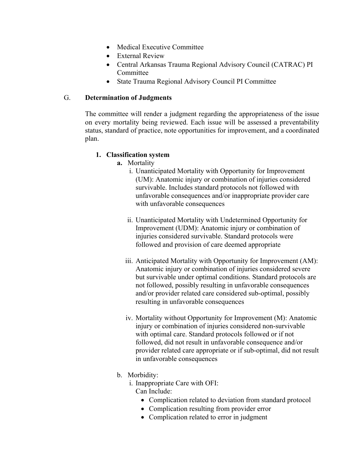- Medical Executive Committee
- External Review
- Central Arkansas Trauma Regional Advisory Council (CATRAC) PI Committee
- State Trauma Regional Advisory Council PI Committee

# G. **Determination of Judgments**

The committee will render a judgment regarding the appropriateness of the issue on every mortality being reviewed. Each issue will be assessed a preventability status, standard of practice, note opportunities for improvement, and a coordinated plan.

# **1. Classification system**

- **a.** Mortality
	- i. Unanticipated Mortality with Opportunity for Improvement (UM): Anatomic injury or combination of injuries considered survivable. Includes standard protocols not followed with unfavorable consequences and/or inappropriate provider care with unfavorable consequences
	- ii. Unanticipated Mortality with Undetermined Opportunity for Improvement (UDM): Anatomic injury or combination of injuries considered survivable. Standard protocols were followed and provision of care deemed appropriate
	- iii. Anticipated Mortality with Opportunity for Improvement (AM): Anatomic injury or combination of injuries considered severe but survivable under optimal conditions. Standard protocols are not followed, possibly resulting in unfavorable consequences and/or provider related care considered sub-optimal, possibly resulting in unfavorable consequences
	- iv. Mortality without Opportunity for Improvement (M): Anatomic injury or combination of injuries considered non-survivable with optimal care. Standard protocols followed or if not followed, did not result in unfavorable consequence and/or provider related care appropriate or if sub-optimal, did not result in unfavorable consequences
- b. Morbidity:
	- i. Inappropriate Care with OFI: Can Include:
		- Complication related to deviation from standard protocol
		- Complication resulting from provider error
		- Complication related to error in judgment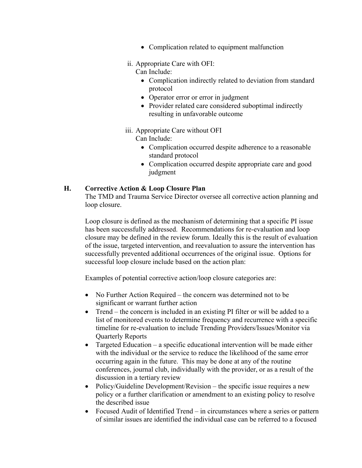- Complication related to equipment malfunction
- ii. Appropriate Care with OFI:

Can Include:

- Complication indirectly related to deviation from standard protocol
- Operator error or error in judgment
- Provider related care considered suboptimal indirectly resulting in unfavorable outcome
- iii. Appropriate Care without OFI

Can Include:

- Complication occurred despite adherence to a reasonable standard protocol
- Complication occurred despite appropriate care and good judgment

# **H. Corrective Action & Loop Closure Plan**

The TMD and Trauma Service Director oversee all corrective action planning and loop closure.

Loop closure is defined as the mechanism of determining that a specific PI issue has been successfully addressed. Recommendations for re-evaluation and loop closure may be defined in the review forum. Ideally this is the result of evaluation of the issue, targeted intervention, and reevaluation to assure the intervention has successfully prevented additional occurrences of the original issue. Options for successful loop closure include based on the action plan:

Examples of potential corrective action/loop closure categories are:

- No Further Action Required the concern was determined not to be significant or warrant further action
- Trend the concern is included in an existing PI filter or will be added to a list of monitored events to determine frequency and recurrence with a specific timeline for re-evaluation to include Trending Providers/Issues/Monitor via Quarterly Reports
- Targeted Education a specific educational intervention will be made either with the individual or the service to reduce the likelihood of the same error occurring again in the future. This may be done at any of the routine conferences, journal club, individually with the provider, or as a result of the discussion in a tertiary review
- Policy/Guideline Development/Revision the specific issue requires a new policy or a further clarification or amendment to an existing policy to resolve the described issue
- Focused Audit of Identified Trend in circumstances where a series or pattern of similar issues are identified the individual case can be referred to a focused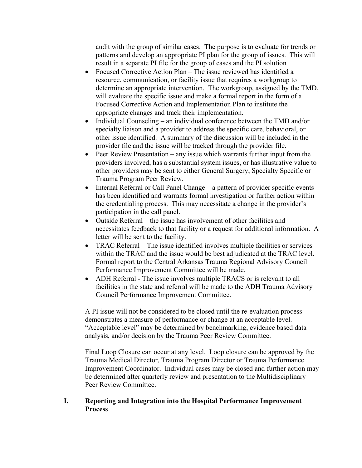audit with the group of similar cases. The purpose is to evaluate for trends or patterns and develop an appropriate PI plan for the group of issues. This will result in a separate PI file for the group of cases and the PI solution

- Focused Corrective Action Plan The issue reviewed has identified a resource, communication, or facility issue that requires a workgroup to determine an appropriate intervention. The workgroup, assigned by the TMD, will evaluate the specific issue and make a formal report in the form of a Focused Corrective Action and Implementation Plan to institute the appropriate changes and track their implementation.
- Individual Counseling an individual conference between the TMD and/or specialty liaison and a provider to address the specific care, behavioral, or other issue identified. A summary of the discussion will be included in the provider file and the issue will be tracked through the provider file.
- Peer Review Presentation any issue which warrants further input from the providers involved, has a substantial system issues, or has illustrative value to other providers may be sent to either General Surgery, Specialty Specific or Trauma Program Peer Review.
- Internal Referral or Call Panel Change a pattern of provider specific events has been identified and warrants formal investigation or further action within the credentialing process. This may necessitate a change in the provider's participation in the call panel.
- Outside Referral the issue has involvement of other facilities and necessitates feedback to that facility or a request for additional information. A letter will be sent to the facility.
- TRAC Referral The issue identified involves multiple facilities or services within the TRAC and the issue would be best adjudicated at the TRAC level. Formal report to the Central Arkansas Trauma Regional Advisory Council Performance Improvement Committee will be made.
- ADH Referral The issue involves multiple TRACS or is relevant to all facilities in the state and referral will be made to the ADH Trauma Advisory Council Performance Improvement Committee.

A PI issue will not be considered to be closed until the re-evaluation process demonstrates a measure of performance or change at an acceptable level. "Acceptable level" may be determined by benchmarking, evidence based data analysis, and/or decision by the Trauma Peer Review Committee.

Final Loop Closure can occur at any level. Loop closure can be approved by the Trauma Medical Director, Trauma Program Director or Trauma Performance Improvement Coordinator. Individual cases may be closed and further action may be determined after quarterly review and presentation to the Multidisciplinary Peer Review Committee.

# **I. Reporting and Integration into the Hospital Performance Improvement Process**